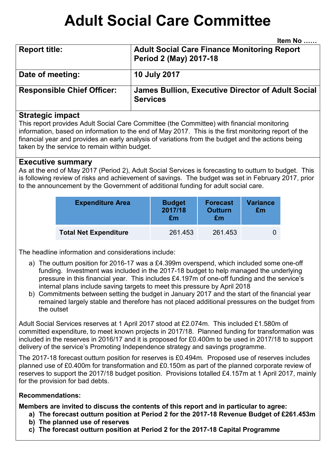# **Adult Social Care Committee**

**Item No** 

|                                   | .                                                                                   |
|-----------------------------------|-------------------------------------------------------------------------------------|
| <b>Report title:</b>              | <b>Adult Social Care Finance Monitoring Report</b><br><b>Period 2 (May) 2017-18</b> |
| Date of meeting:                  | <b>10 July 2017</b>                                                                 |
| <b>Responsible Chief Officer:</b> | James Bullion, Executive Director of Adult Social<br><b>Services</b>                |

#### **Strategic impact**

This report provides Adult Social Care Committee (the Committee) with financial monitoring information, based on information to the end of May 2017. This is the first monitoring report of the financial year and provides an early analysis of variations from the budget and the actions being taken by the service to remain within budget.

#### **Executive summary**

As at the end of May 2017 (Period 2), Adult Social Services is forecasting to outturn to budget. This is following review of risks and achievement of savings. The budget was set in February 2017, prior to the announcement by the Government of additional funding for adult social care.

| <b>Expenditure Area</b>      | <b>Budget</b><br>2017/18<br>£m | <b>Forecast</b><br><b>Outturn</b><br>£m | <b>Variance</b><br>£m |
|------------------------------|--------------------------------|-----------------------------------------|-----------------------|
| <b>Total Net Expenditure</b> | 261.453                        | 261.453                                 |                       |

The headline information and considerations include:

- a) The outturn position for 2016-17 was a £4.399m overspend, which included some one-off funding. Investment was included in the 2017-18 budget to help managed the underlying pressure in this financial year. This includes £4.197m of one-off funding and the service's internal plans include saving targets to meet this pressure by April 2018
- b) Commitments between setting the budget in January 2017 and the start of the financial year remained largely stable and therefore has not placed additional pressures on the budget from the outset

Adult Social Services reserves at 1 April 2017 stood at £2.074m. This included £1.580m of committed expenditure, to meet known projects in 2017/18. Planned funding for transformation was included in the reserves in 2016/17 and it is proposed for £0.400m to be used in 2017/18 to support delivery of the service's Promoting Independence strategy and savings programme.

The 2017-18 forecast outturn position for reserves is £0.494m. Proposed use of reserves includes planned use of £0.400m for transformation and £0.150m as part of the planned corporate review of reserves to support the 2017/18 budget position. Provisions totalled £4.157m at 1 April 2017, mainly for the provision for bad debts.

#### **Recommendations:**

**Members are invited to discuss the contents of this report and in particular to agree:** 

- **a) The forecast outturn position at Period 2 for the 2017-18 Revenue Budget of £261.453m**
- **b) The planned use of reserves**
- **c) The forecast outturn position at Period 2 for the 2017-18 Capital Programme**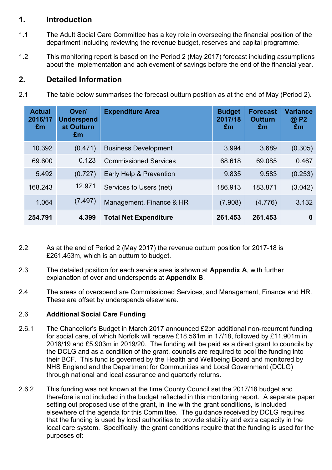## **1. Introduction**

- 1.1 The Adult Social Care Committee has a key role in overseeing the financial position of the department including reviewing the revenue budget, reserves and capital programme.
- 1.2 This monitoring report is based on the Period 2 (May 2017) forecast including assumptions about the implementation and achievement of savings before the end of the financial year.

## **2. Detailed Information**

2.1 The table below summarises the forecast outturn position as at the end of May (Period 2).

| <b>Actual</b><br>2016/17<br>Em | Over/<br><b>Underspend</b><br>at Outturn<br>£m | <b>Expenditure Area</b>      | <b>Budget</b><br>2017/18<br>Em | <b>Forecast</b><br><b>Outturn</b><br>Em | <b>Variance</b><br>@ P2<br>£m |
|--------------------------------|------------------------------------------------|------------------------------|--------------------------------|-----------------------------------------|-------------------------------|
| 10.392                         | (0.471)                                        | <b>Business Development</b>  | 3.994                          | 3.689                                   | (0.305)                       |
| 69.600                         | 0.123                                          | <b>Commissioned Services</b> | 68.618                         | 69.085                                  | 0.467                         |
| 5.492                          | (0.727)                                        | Early Help & Prevention      | 9.835                          | 9.583                                   | (0.253)                       |
| 168.243                        | 12.971                                         | Services to Users (net)      | 186.913                        | 183.871                                 | (3.042)                       |
| 1.064                          | (7.497)                                        | Management, Finance & HR     | (7.908)                        | (4.776)                                 | 3.132                         |
| 254.791                        | 4.399                                          | <b>Total Net Expenditure</b> | 261.453                        | 261.453                                 | 0                             |

- 2.2 As at the end of Period 2 (May 2017) the revenue outturn position for 2017-18 is £261.453m, which is an outturn to budget.
- 2.3 The detailed position for each service area is shown at **Appendix A**, with further explanation of over and underspends at **Appendix B**.
- 2.4 The areas of overspend are Commissioned Services, and Management, Finance and HR. These are offset by underspends elsewhere.

#### 2.6 **Additional Social Care Funding**

- 2.6.1 The Chancellor's Budget in March 2017 announced £2bn additional non-recurrent funding for social care, of which Norfolk will receive £18.561m in 17/18, followed by £11.901m in 2018/19 and £5.903m in 2019/20. The funding will be paid as a direct grant to councils by the DCLG and as a condition of the grant, councils are required to pool the funding into their BCF. This fund is governed by the Health and Wellbeing Board and monitored by NHS England and the Department for Communities and Local Government (DCLG) through national and local assurance and quarterly returns.
- 2.6.2 This funding was not known at the time County Council set the 2017/18 budget and therefore is not included in the budget reflected in this monitoring report. A separate paper setting out proposed use of the grant, in line with the grant conditions, is included elsewhere of the agenda for this Committee. The guidance received by DCLG requires that the funding is used by local authorities to provide stability and extra capacity in the local care system. Specifically, the grant conditions require that the funding is used for the purposes of: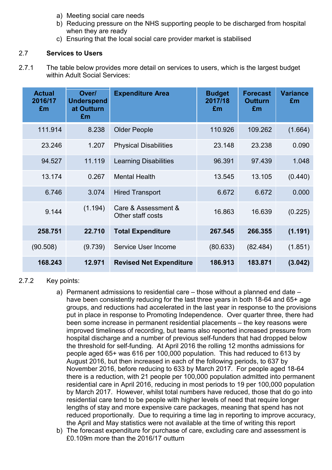- a) Meeting social care needs
- b) Reducing pressure on the NHS supporting people to be discharged from hospital when they are ready
- c) Ensuring that the local social care provider market is stabilised

#### 2.7 **Services to Users**

2.7.1 The table below provides more detail on services to users, which is the largest budget within Adult Social Services:

| <b>Actual</b><br>2016/17<br>£m | Over/<br><b>Underspend</b><br>at Outturn<br>£m | <b>Expenditure Area</b>                  | <b>Budget</b><br>2017/18<br>£m | <b>Forecast</b><br><b>Outturn</b><br>£m | <b>Variance</b><br>£m |
|--------------------------------|------------------------------------------------|------------------------------------------|--------------------------------|-----------------------------------------|-----------------------|
| 111.914                        | 8.238                                          | <b>Older People</b>                      | 110.926                        | 109.262                                 | (1.664)               |
| 23.246                         | 1.207                                          | <b>Physical Disabilities</b>             | 23.148                         | 23.238                                  | 0.090                 |
| 94.527                         | 11.119                                         | <b>Learning Disabilities</b>             | 96.391                         | 97.439                                  | 1.048                 |
| 13.174                         | 0.267                                          | <b>Mental Health</b>                     | 13.545                         | 13.105                                  | (0.440)               |
| 6.746                          | 3.074                                          | <b>Hired Transport</b>                   | 6.672                          | 6.672                                   | 0.000                 |
| 9.144                          | (1.194)                                        | Care & Assessment &<br>Other staff costs | 16.863                         | 16.639                                  | (0.225)               |
| 258.751                        | 22.710                                         | <b>Total Expenditure</b>                 | 267.545                        | 266,355                                 | (1.191)               |
| (90.508)                       | (9.739)                                        | Service User Income                      | (80.633)                       | (82.484)                                | (1.851)               |
| 168.243                        | 12.971                                         | <b>Revised Net Expenditure</b>           | 186.913                        | 183.871                                 | (3.042)               |

#### 2.7.2 Key points:

- a) Permanent admissions to residential care those without a planned end date have been consistently reducing for the last three years in both 18-64 and 65+ age groups, and reductions had accelerated in the last year in response to the provisions put in place in response to Promoting Independence. Over quarter three, there had been some increase in permanent residential placements – the key reasons were improved timeliness of recording, but teams also reported increased pressure from hospital discharge and a number of previous self-funders that had dropped below the threshold for self-funding. At April 2016 the rolling 12 months admissions for people aged 65+ was 616 per 100,000 population. This had reduced to 613 by August 2016, but then increased in each of the following periods, to 637 by November 2016, before reducing to 633 by March 2017. For people aged 18-64 there is a reduction, with 21 people per 100,000 population admitted into permanent residential care in April 2016, reducing in most periods to 19 per 100,000 population by March 2017. However, whilst total numbers have reduced, those that do go into residential care tend to be people with higher levels of need that require longer lengths of stay and more expensive care packages, meaning that spend has not reduced proportionally. Due to requiring a time lag in reporting to improve accuracy, the April and May statistics were not available at the time of writing this report
- b) The forecast expenditure for purchase of care, excluding care and assessment is £0.109m more than the 2016/17 outturn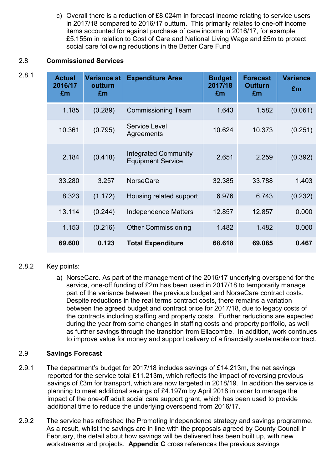c) Overall there is a reduction of £8.024m in forecast income relating to service users in 2017/18 compared to 2016/17 outturn. This primarily relates to one-off income items accounted for against purchase of care income in 2016/17, for example £5.155m in relation to Cost of Care and National Living Wage and £5m to protect social care following reductions in the Better Care Fund

#### 2.8 **Commissioned Services**

| 2.8.1 | <b>Actual</b><br>2016/17<br>£m | Variance at<br>outturn<br>£m | <b>Expenditure Area</b>                                 | <b>Budget</b><br>2017/18<br>£m | <b>Forecast</b><br><b>Outturn</b><br>£m | <b>Variance</b><br>£m |
|-------|--------------------------------|------------------------------|---------------------------------------------------------|--------------------------------|-----------------------------------------|-----------------------|
|       | 1.185                          | (0.289)                      | <b>Commissioning Team</b>                               | 1.643                          | 1.582                                   | (0.061)               |
|       | 10.361                         | (0.795)                      | Service Level<br>Agreements                             | 10.624                         | 10.373                                  | (0.251)               |
|       | 2.184                          | (0.418)                      | <b>Integrated Community</b><br><b>Equipment Service</b> | 2.651                          | 2.259                                   | (0.392)               |
|       | 33.280                         | 3.257                        | <b>NorseCare</b>                                        | 32.385                         | 33.788                                  | 1.403                 |
|       | 8.323                          | (1.172)                      | Housing related support                                 | 6.976                          | 6.743                                   | (0.232)               |
|       | 13.114                         | (0.244)                      | <b>Independence Matters</b>                             | 12.857                         | 12.857                                  | 0.000                 |
|       | 1.153                          | (0.216)                      | <b>Other Commissioning</b>                              | 1.482                          | 1.482                                   | 0.000                 |
|       | 69.600                         | 0.123                        | <b>Total Expenditure</b>                                | 68.618                         | 69.085                                  | 0.467                 |

#### 2.8.2 Key points:

a) NorseCare. As part of the management of the 2016/17 underlying overspend for the service, one-off funding of £2m has been used in 2017/18 to temporarily manage part of the variance between the previous budget and NorseCare contract costs. Despite reductions in the real terms contract costs, there remains a variation between the agreed budget and contract price for 2017/18, due to legacy costs of the contracts including staffing and property costs. Further reductions are expected during the year from some changes in staffing costs and property portfolio, as well as further savings through the transition from Ellacombe. In addition, work continues to improve value for money and support delivery of a financially sustainable contract.

#### 2.9 **Savings Forecast**

- 2.9.1 The department's budget for 2017/18 includes savings of £14.213m, the net savings reported for the service total £11.213m, which reflects the impact of reversing previous savings of £3m for transport, which are now targeted in 2018/19. In addition the service is planning to meet additional savings of £4.197m by April 2018 in order to manage the impact of the one-off adult social care support grant, which has been used to provide additional time to reduce the underlying overspend from 2016/17.
- 2.9.2 The service has refreshed the Promoting Independence strategy and savings programme. As a result, whilst the savings are in line with the proposals agreed by County Council in February, the detail about how savings will be delivered has been built up, with new workstreams and projects. **Appendix C** cross references the previous savings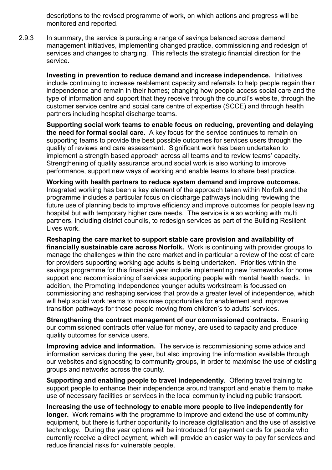descriptions to the revised programme of work, on which actions and progress will be monitored and reported.

2.9.3 In summary, the service is pursuing a range of savings balanced across demand management initiatives, implementing changed practice, commissioning and redesign of services and changes to charging. This reflects the strategic financial direction for the service.

**Investing in prevention to reduce demand and increase independence.** Initiatives include continuing to increase reablement capacity and referrals to help people regain their independence and remain in their homes; changing how people access social care and the type of information and support that they receive through the council's website, through the customer service centre and social care centre of expertise (SCCE) and through health partners including hospital discharge teams.

**Supporting social work teams to enable focus on reducing, preventing and delaying the need for formal social care.** A key focus for the service continues to remain on supporting teams to provide the best possible outcomes for services users through the quality of reviews and care assessment. Significant work has been undertaken to implement a strength based approach across all teams and to review teams' capacity. Strengthening of quality assurance around social work is also working to improve performance, support new ways of working and enable teams to share best practice.

**Working with health partners to reduce system demand and improve outcomes.**  Integrated working has been a key element of the approach taken within Norfolk and the programme includes a particular focus on discharge pathways including reviewing the future use of planning beds to improve efficiency and improve outcomes for people leaving hospital but with temporary higher care needs. The service is also working with multi partners, including district councils, to redesign services as part of the Building Resilient Lives work.

**Reshaping the care market to support stable care provision and availability of financially sustainable care across Norfolk.** Work is continuing with provider groups to manage the challenges within the care market and in particular a review of the cost of care for providers supporting working age adults is being undertaken. Priorities within the savings programme for this financial year include implementing new frameworks for home support and recommissioning of services supporting people with mental health needs. In addition, the Promoting Independence younger adults workstream is focussed on commissioning and reshaping services that provide a greater level of independence, which will help social work teams to maximise opportunities for enablement and improve transition pathways for those people moving from children's to adults' services.

**Strengthening the contract management of our commissioned contracts.** Ensuring our commissioned contracts offer value for money, are used to capacity and produce quality outcomes for service users.

**Improving advice and information.** The service is recommissioning some advice and information services during the year, but also improving the information available through our websites and signposting to community groups, in order to maximise the use of existing groups and networks across the county.

**Supporting and enabling people to travel independently.** Offering travel training to support people to enhance their independence around transport and enable them to make use of necessary facilities or services in the local community including public transport.

**Increasing the use of technology to enable more people to live independently for longer.** Work remains with the programme to improve and extend the use of community equipment, but there is further opportunity to increase digitalisation and the use of assistive technology. During the year options will be introduced for payment cards for people who currently receive a direct payment, which will provide an easier way to pay for services and reduce financial risks for vulnerable people.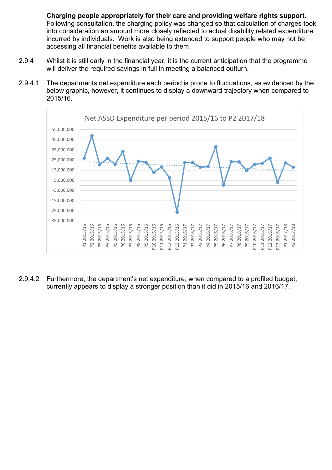**Charging people appropriately for their care and providing welfare rights support.**  Following consultation, the charging policy was changed so that calculation of charges took into consideration an amount more closely reflected to actual disability related expenditure incurred by individuals. Work is also being extended to support people who may not be accessing all financial benefits available to them.

- 2.9.4 Whilst it is still early in the financial year, it is the current anticipation that the programme will deliver the required savings in full in meeting a balanced outturn.
- 2.9.4.1 The departments net expenditure each period is prone to fluctuations, as evidenced by the below graphic, however, it continues to display a downward trajectory when compared to 2015/16.



2.9.4.2 Furthermore, the department's net expenditure, when compared to a profiled budget, currently appears to display a stronger position than it did in 2015/16 and 2016/17.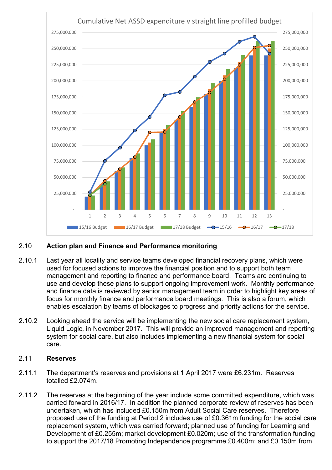

#### 2.10 **Action plan and Finance and Performance monitoring**

- 2.10.1 Last year all locality and service teams developed financial recovery plans, which were used for focused actions to improve the financial position and to support both team management and reporting to finance and performance board. Teams are continuing to use and develop these plans to support ongoing improvement work. Monthly performance and finance data is reviewed by senior management team in order to highlight key areas of focus for monthly finance and performance board meetings. This is also a forum, which enables escalation by teams of blockages to progress and priority actions for the service.
- 2.10.2 Looking ahead the service will be implementing the new social care replacement system, Liquid Logic, in November 2017. This will provide an improved management and reporting system for social care, but also includes implementing a new financial system for social care.

#### 2.11 **Reserves**

- 2.11.1 The department's reserves and provisions at 1 April 2017 were £6.231m. Reserves totalled £2.074m.
- 2.11.2 The reserves at the beginning of the year include some committed expenditure, which was carried forward in 2016/17. In addition the planned corporate review of reserves has been undertaken, which has included £0.150m from Adult Social Care reserves. Therefore proposed use of the funding at Period 2 includes use of £0.361m funding for the social care replacement system, which was carried forward; planned use of funding for Learning and Development of £0.255m; market development £0.020m; use of the transformation funding to support the 2017/18 Promoting Independence programme £0.400m; and £0.150m from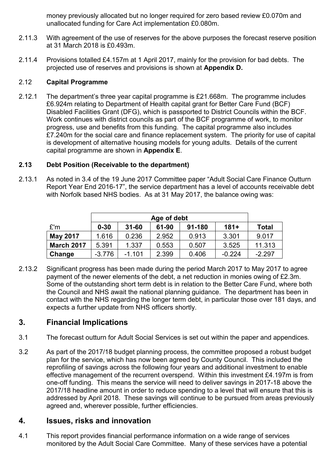money previously allocated but no longer required for zero based review £0.070m and unallocated funding for Care Act implementation £0.080m.

- 2.11.3 With agreement of the use of reserves for the above purposes the forecast reserve position at 31 March 2018 is £0.493m.
- 2.11.4 Provisions totalled £4.157m at 1 April 2017, mainly for the provision for bad debts. The projected use of reserves and provisions is shown at **Appendix D.**

#### 2.12 **Capital Programme**

2.12.1 The department's three year capital programme is £21.668m. The programme includes £6.924m relating to Department of Health capital grant for Better Care Fund (BCF) Disabled Facilities Grant (DFG), which is passported to District Councils within the BCF. Work continues with district councils as part of the BCF programme of work, to monitor progress, use and benefits from this funding. The capital programme also includes £7.240m for the social care and finance replacement system. The priority for use of capital is development of alternative housing models for young adults. Details of the current capital programme are shown in **Appendix E**.

#### **2.13 Debt Position (Receivable to the department)**

2.13.1 As noted in 3.4 of the 19 June 2017 Committee paper "Adult Social Care Finance Outturn Report Year End 2016-17", the service department has a level of accounts receivable debt with Norfolk based NHS bodies. As at 31 May 2017, the balance owing was:

|                   | Age of debt |           |       |        |          |              |
|-------------------|-------------|-----------|-------|--------|----------|--------------|
| E'm               | $0 - 30$    | $31 - 60$ | 61-90 | 91-180 | $181+$   | <b>Total</b> |
| <b>May 2017</b>   | 1.616       | 0.236     | 2.952 | 0.913  | 3.301    | 9.017        |
| <b>March 2017</b> | 5.391       | 1.337     | 0.553 | 0.507  | 3.525    | 11.313       |
| Change            | $-3.776$    | $-1.101$  | 2.399 | 0.406  | $-0.224$ | $-2.297$     |

2.13.2 Significant progress has been made during the period March 2017 to May 2017 to agree payment of the newer elements of the debt, a net reduction in monies owing of £2.3m. Some of the outstanding short term debt is in relation to the Better Care Fund, where both the Council and NHS await the national planning guidance. The department has been in contact with the NHS regarding the longer term debt, in particular those over 181 days, and expects a further update from NHS officers shortly.

## **3. Financial Implications**

- 3.1 The forecast outturn for Adult Social Services is set out within the paper and appendices.
- 3.2 As part of the 2017/18 budget planning process, the committee proposed a robust budget plan for the service, which has now been agreed by County Council. This included the reprofiling of savings across the following four years and additional investment to enable effective management of the recurrent overspend. Within this investment £4.197m is from one-off funding. This means the service will need to deliver savings in 2017-18 above the 2017/18 headline amount in order to reduce spending to a level that will ensure that this is addressed by April 2018. These savings will continue to be pursued from areas previously agreed and, wherever possible, further efficiencies.

## **4. Issues, risks and innovation**

4.1 This report provides financial performance information on a wide range of services monitored by the Adult Social Care Committee. Many of these services have a potential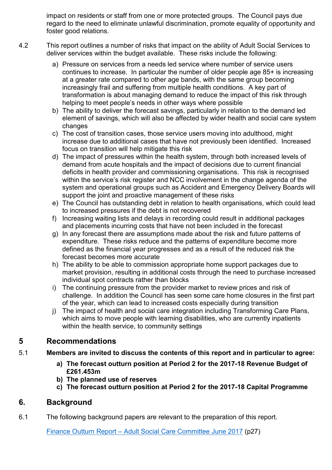impact on residents or staff from one or more protected groups. The Council pays due regard to the need to eliminate unlawful discrimination, promote equality of opportunity and foster good relations.

- 4.2 This report outlines a number of risks that impact on the ability of Adult Social Services to deliver services within the budget available. These risks include the following:
	- a) Pressure on services from a needs led service where number of service users continues to increase. In particular the number of older people age 85+ is increasing at a greater rate compared to other age bands, with the same group becoming increasingly frail and suffering from multiple health conditions. A key part of transformation is about managing demand to reduce the impact of this risk through helping to meet people's needs in other ways where possible
	- b) The ability to deliver the forecast savings, particularly in relation to the demand led element of savings, which will also be affected by wider health and social care system changes
	- c) The cost of transition cases, those service users moving into adulthood, might increase due to additional cases that have not previously been identified. Increased focus on transition will help mitigate this risk
	- d) The impact of pressures within the health system, through both increased levels of demand from acute hospitals and the impact of decisions due to current financial deficits in health provider and commissioning organisations. This risk is recognised within the service's risk register and NCC involvement in the change agenda of the system and operational groups such as Accident and Emergency Delivery Boards will support the joint and proactive management of these risks
	- e) The Council has outstanding debt in relation to health organisations, which could lead to increased pressures if the debt is not recovered
	- f) Increasing waiting lists and delays in recording could result in additional packages and placements incurring costs that have not been included in the forecast
	- g) In any forecast there are assumptions made about the risk and future patterns of expenditure. These risks reduce and the patterns of expenditure become more defined as the financial year progresses and as a result of the reduced risk the forecast becomes more accurate
	- h) The ability to be able to commission appropriate home support packages due to market provision, resulting in additional costs through the need to purchase increased individual spot contracts rather than blocks
	- i) The continuing pressure from the provider market to review prices and risk of challenge. In addition the Council has seen some care home closures in the first part of the year, which can lead to increased costs especially during transition
	- j) The impact of health and social care integration including Transforming Care Plans, which aims to move people with learning disabilities, who are currently inpatients within the health service, to community settings

## **5 Recommendations**

#### 5.1 **Members are invited to discuss the contents of this report and in particular to agree:**

- **a) The forecast outturn position at Period 2 for the 2017-18 Revenue Budget of £261.453m**
- **b) The planned use of reserves**
- **c) The forecast outturn position at Period 2 for the 2017-18 Capital Programme**

## **6. Background**

6.1 The following background papers are relevant to the preparation of this report.

[Finance Outturn Report – Adult Social Care Committee June 2017](http://norfolkcc.cmis.uk.com/NorfolkCC/Document.ashx?czJKcaeAi5tUFL1DTL2UE4zNRBcoShgo=Y2CLk4TkktFUDjx5vZx8AwghsHVw5Ix%2fTS9qfkcYcf5ndoUIOlPigg%3d%3d&rUzwRPf%2bZ3zd4E7Ikn8Lyw%3d%3d=pwRE6AGJFLDNlh225F5QMaQWCtPHwdhUfCZ%2fLUQzgA2uL5jNRG4jdQ%3d%3d&mCTIbCubSFfXsDGW9IXnlg%3d%3d=hFflUdN3100%3d&kCx1AnS9%2fpWZQ40DXFvdEw%3d%3d=hFflUdN3100%3d&uJovDxwdjMPoYv%2bAJvYtyA%3d%3d=ctNJFf55vVA%3d&FgPlIEJYlotS%2bYGoBi5olA%3d%3d=NHdURQburHA%3d&d9Qjj0ag1Pd993jsyOJqFvmyB7X0CSQK=ctNJFf55vVA%3d&WGewmoAfeNR9xqBux0r1Q8Za60lavYmz=ctNJFf55vVA%3d&WGewmoAfeNQ16B2MHuCpMRKZMwaG1PaO=ctNJFf55vVA%3d) (p27)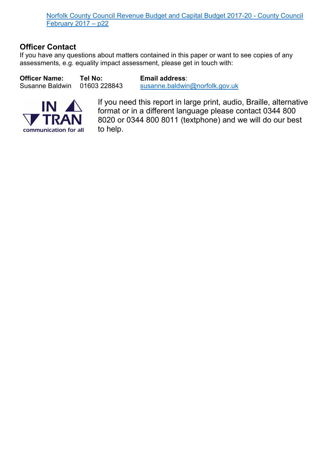[Norfolk County Council Revenue Budget and Capital Budget 2017-20 - County Council](http://norfolkcc.cmis.uk.com/NorfolkCC/Document.ashx?czJKcaeAi5tUFL1DTL2UE4zNRBcoShgo=0tfOF02BYL7UtA9QTK60%2fPPNPb4ROwORBumDl3D%2bOhStIz7S5iDqQw%3d%3d&rUzwRPf%2bZ3zd4E7Ikn8Lyw%3d%3d=pwRE6AGJFLDNlh225F5QMaQWCtPHwdhUfCZ%2fLUQzgA2uL5jNRG4jdQ%3d%3d&mCTIbCubSFfXsDGW9IXnlg%3d%3d=hFflUdN3100%3d&kCx1AnS9%2fpWZQ40DXFvdEw%3d%3d=hFflUdN3100%3d&uJovDxwdjMPoYv%2bAJvYtyA%3d%3d=ctNJFf55vVA%3d&FgPlIEJYlotS%2bYGoBi5olA%3d%3d=NHdURQburHA%3d&d9Qjj0ag1Pd993jsyOJqFvmyB7X0CSQK=ctNJFf55vVA%3d&WGewmoAfeNR9xqBux0r1Q8Za60lavYmz=ctNJFf55vVA%3d&WGewmoAfeNQ16B2MHuCpMRKZMwaG1PaO=ctNJFf55vVA%3d)  [February 2017 – p22](http://norfolkcc.cmis.uk.com/NorfolkCC/Document.ashx?czJKcaeAi5tUFL1DTL2UE4zNRBcoShgo=0tfOF02BYL7UtA9QTK60%2fPPNPb4ROwORBumDl3D%2bOhStIz7S5iDqQw%3d%3d&rUzwRPf%2bZ3zd4E7Ikn8Lyw%3d%3d=pwRE6AGJFLDNlh225F5QMaQWCtPHwdhUfCZ%2fLUQzgA2uL5jNRG4jdQ%3d%3d&mCTIbCubSFfXsDGW9IXnlg%3d%3d=hFflUdN3100%3d&kCx1AnS9%2fpWZQ40DXFvdEw%3d%3d=hFflUdN3100%3d&uJovDxwdjMPoYv%2bAJvYtyA%3d%3d=ctNJFf55vVA%3d&FgPlIEJYlotS%2bYGoBi5olA%3d%3d=NHdURQburHA%3d&d9Qjj0ag1Pd993jsyOJqFvmyB7X0CSQK=ctNJFf55vVA%3d&WGewmoAfeNR9xqBux0r1Q8Za60lavYmz=ctNJFf55vVA%3d&WGewmoAfeNQ16B2MHuCpMRKZMwaG1PaO=ctNJFf55vVA%3d)

## **Officer Contact**

If you have any questions about matters contained in this paper or want to see copies of any assessments, e.g. equality impact assessment, please get in touch with:

**Officer Name: Tel No: Email address**:

Susanne Baldwin 01603 228843 [susanne.baldwin@norfolk.gov.uk](mailto:susanne.baldwin@norfolk.gov.uk)



If you need this report in large print, audio, Braille, alternative format or in a different language please contact 0344 800 8020 or 0344 800 8011 (textphone) and we will do our best to help.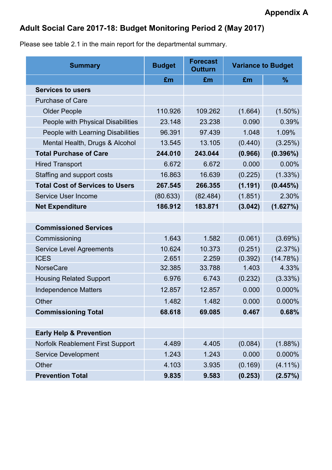# **Adult Social Care 2017-18: Budget Monitoring Period 2 (May 2017)**

Please see table 2.1 in the main report for the departmental summary.

| <b>Summary</b>                          | <b>Budget</b> | <b>Forecast</b><br><b>Outturn</b> | <b>Variance to Budget</b> |               |
|-----------------------------------------|---------------|-----------------------------------|---------------------------|---------------|
|                                         | £m            | £m                                | £m                        | $\frac{9}{6}$ |
| <b>Services to users</b>                |               |                                   |                           |               |
| <b>Purchase of Care</b>                 |               |                                   |                           |               |
| <b>Older People</b>                     | 110.926       | 109.262                           | (1.664)                   | $(1.50\%)$    |
| People with Physical Disabilities       | 23.148        | 23.238                            | 0.090                     | 0.39%         |
| People with Learning Disabilities       | 96.391        | 97.439                            | 1.048                     | 1.09%         |
| Mental Health, Drugs & Alcohol          | 13.545        | 13.105                            | (0.440)                   | (3.25%)       |
| <b>Total Purchase of Care</b>           | 244.010       | 243.044                           | (0.966)                   | (0.396%)      |
| <b>Hired Transport</b>                  | 6.672         | 6.672                             | 0.000                     | 0.00%         |
| Staffing and support costs              | 16.863        | 16.639                            | (0.225)                   | $(1.33\%)$    |
| <b>Total Cost of Services to Users</b>  | 267.545       | 266.355                           | (1.191)                   | (0.445%)      |
| Service User Income                     | (80.633)      | (82.484)                          | (1.851)                   | 2.30%         |
| <b>Net Expenditure</b>                  | 186.912       | 183.871                           | (3.042)                   | (1.627%)      |
|                                         |               |                                   |                           |               |
| <b>Commissioned Services</b>            |               |                                   |                           |               |
| Commissioning                           | 1.643         | 1.582                             | (0.061)                   | (3.69%)       |
| <b>Service Level Agreements</b>         | 10.624        | 10.373                            | (0.251)                   | (2.37%)       |
| <b>ICES</b>                             | 2.651         | 2.259                             | (0.392)                   | (14.78%)      |
| <b>NorseCare</b>                        | 32.385        | 33.788                            | 1.403                     | 4.33%         |
| <b>Housing Related Support</b>          | 6.976         | 6.743                             | (0.232)                   | (3.33%)       |
| <b>Independence Matters</b>             | 12.857        | 12.857                            | 0.000                     | 0.000%        |
| Other                                   | 1.482         | 1.482                             | 0.000                     | 0.000%        |
| <b>Commissioning Total</b>              | 68.618        | 69.085                            | 0.467                     | 0.68%         |
|                                         |               |                                   |                           |               |
| <b>Early Help &amp; Prevention</b>      |               |                                   |                           |               |
| <b>Norfolk Reablement First Support</b> | 4.489         | 4.405                             | (0.084)                   | $(1.88\%)$    |
| <b>Service Development</b>              | 1.243         | 1.243                             | 0.000                     | 0.000%        |
| Other                                   | 4.103         | 3.935                             | (0.169)                   | $(4.11\%)$    |
| <b>Prevention Total</b>                 | 9.835         | 9.583                             | (0.253)                   | (2.57%)       |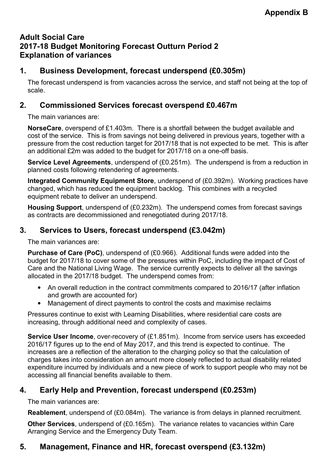## **Adult Social Care 2017-18 Budget Monitoring Forecast Outturn Period 2 Explanation of variances**

## **1. Business Development, forecast underspend (£0.305m)**

The forecast underspend is from vacancies across the service, and staff not being at the top of scale.

### **2. Commissioned Services forecast overspend £0.467m**

The main variances are:

**NorseCare**, overspend of £1.403m. There is a shortfall between the budget available and cost of the service. This is from savings not being delivered in previous years, together with a pressure from the cost reduction target for 2017/18 that is not expected to be met. This is after an additional £2m was added to the budget for 2017/18 on a one-off basis.

**Service Level Agreements**, underspend of (£0.251m). The underspend is from a reduction in planned costs following retendering of agreements.

**Integrated Community Equipment Store**, underspend of (£0.392m). Working practices have changed, which has reduced the equipment backlog. This combines with a recycled equipment rebate to deliver an underspend.

**Housing Support**, underspend of (£0.232m). The underspend comes from forecast savings as contracts are decommissioned and renegotiated during 2017/18.

## **3. Services to Users, forecast underspend (£3.042m)**

The main variances are:

**Purchase of Care (PoC)**, underspend of (£0.966). Additional funds were added into the budget for 2017/18 to cover some of the pressures within PoC, including the impact of Cost of Care and the National Living Wage. The service currently expects to deliver all the savings allocated in the 2017/18 budget. The underspend comes from:

- An overall reduction in the contract commitments compared to 2016/17 (after inflation and growth are accounted for)
- Management of direct payments to control the costs and maximise reclaims

Pressures continue to exist with Learning Disabilities, where residential care costs are increasing, through additional need and complexity of cases.

**Service User Income**, over-recovery of (£1.851m). Income from service users has exceeded 2016/17 figures up to the end of May 2017, and this trend is expected to continue. The increases are a reflection of the alteration to the charging policy so that the calculation of charges takes into consideration an amount more closely reflected to actual disability related expenditure incurred by individuals and a new piece of work to support people who may not be accessing all financial benefits available to them.

## **4. Early Help and Prevention, forecast underspend (£0.253m)**

The main variances are:

**Reablement**, underspend of (£0.084m). The variance is from delays in planned recruitment.

**Other Services**, underspend of (£0.165m). The variance relates to vacancies within Care Arranging Service and the Emergency Duty Team.

## **5. Management, Finance and HR, forecast overspend (£3.132m)**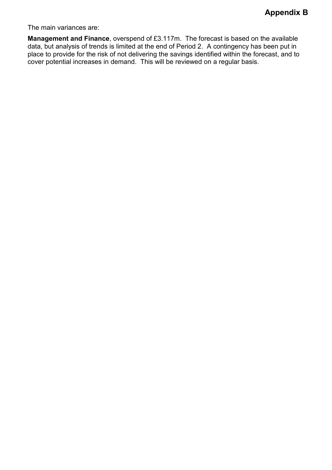The main variances are:

**Management and Finance**, overspend of £3.117m. The forecast is based on the available data, but analysis of trends is limited at the end of Period 2. A contingency has been put in place to provide for the risk of not delivering the savings identified within the forecast, and to cover potential increases in demand. This will be reviewed on a regular basis.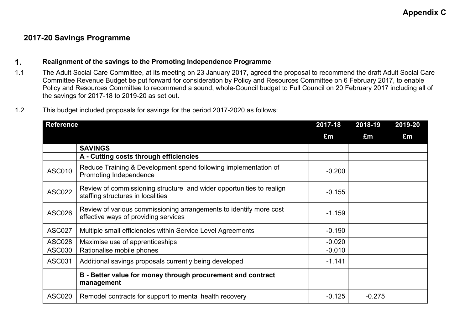### **2017-20 Savings Programme**

#### **1. Realignment of the savings to the Promoting Independence Programme**

- 1.1 The Adult Social Care Committee, at its meeting on 23 January 2017, agreed the proposal to recommend the draft Adult Social Care Committee Revenue Budget be put forward for consideration by Policy and Resources Committee on 6 February 2017, to enable Policy and Resources Committee to recommend a sound, whole-Council budget to Full Council on 20 February 2017 including all of the savings for 2017-18 to 2019-20 as set out.
- 1.2 This budget included proposals for savings for the period 2017-2020 as follows:

| <b>Reference</b> |                                                                                                            | 2017-18  | 2018-19  | 2019-20 |
|------------------|------------------------------------------------------------------------------------------------------------|----------|----------|---------|
|                  |                                                                                                            | £m       | £m       | £m      |
|                  | <b>SAVINGS</b>                                                                                             |          |          |         |
|                  | A - Cutting costs through efficiencies                                                                     |          |          |         |
| <b>ASC010</b>    | Reduce Training & Development spend following implementation of<br>Promoting Independence                  | $-0.200$ |          |         |
| <b>ASC022</b>    | Review of commissioning structure and wider opportunities to realign<br>staffing structures in localities  | $-0.155$ |          |         |
| <b>ASC026</b>    | Review of various commissioning arrangements to identify more cost<br>effective ways of providing services | $-1.159$ |          |         |
| <b>ASC027</b>    | Multiple small efficiencies within Service Level Agreements                                                | $-0.190$ |          |         |
| <b>ASC028</b>    | Maximise use of apprenticeships                                                                            | $-0.020$ |          |         |
| <b>ASC030</b>    | Rationalise mobile phones                                                                                  | $-0.010$ |          |         |
| <b>ASC031</b>    | Additional savings proposals currently being developed                                                     | $-1.141$ |          |         |
|                  | B - Better value for money through procurement and contract<br>management                                  |          |          |         |
| <b>ASC020</b>    | Remodel contracts for support to mental health recovery                                                    | $-0.125$ | $-0.275$ |         |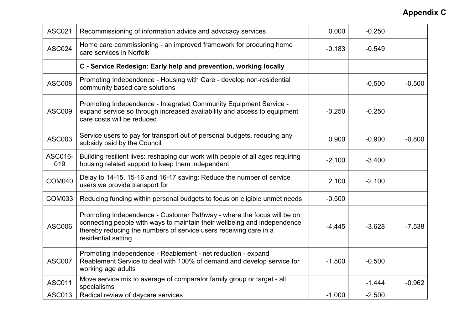| <b>ASC021</b>  | Recommissioning of information advice and advocacy services                                                                                                                                                                                    | 0.000    | $-0.250$ |          |
|----------------|------------------------------------------------------------------------------------------------------------------------------------------------------------------------------------------------------------------------------------------------|----------|----------|----------|
| <b>ASC024</b>  | Home care commissioning - an improved framework for procuring home<br>care services in Norfolk                                                                                                                                                 | $-0.183$ | $-0.549$ |          |
|                | C - Service Redesign: Early help and prevention, working locally                                                                                                                                                                               |          |          |          |
| <b>ASC008</b>  | Promoting Independence - Housing with Care - develop non-residential<br>community based care solutions                                                                                                                                         |          | $-0.500$ | $-0.500$ |
| <b>ASC009</b>  | Promoting Independence - Integrated Community Equipment Service -<br>expand service so through increased availability and access to equipment<br>care costs will be reduced                                                                    | $-0.250$ | $-0.250$ |          |
| <b>ASC003</b>  | Service users to pay for transport out of personal budgets, reducing any<br>subsidy paid by the Council                                                                                                                                        | 0.900    | $-0.900$ | $-0.800$ |
| ASC016-<br>019 | Building resilient lives: reshaping our work with people of all ages requiring<br>housing related support to keep them independent                                                                                                             | $-2.100$ | $-3.400$ |          |
| <b>COM040</b>  | Delay to 14-15, 15-16 and 16-17 saving: Reduce the number of service<br>users we provide transport for                                                                                                                                         | 2.100    | $-2.100$ |          |
| <b>COM033</b>  | Reducing funding within personal budgets to focus on eligible unmet needs                                                                                                                                                                      | $-0.500$ |          |          |
| <b>ASC006</b>  | Promoting Independence - Customer Pathway - where the focus will be on<br>connecting people with ways to maintain their wellbeing and independence<br>thereby reducing the numbers of service users receiving care in a<br>residential setting | $-4.445$ | $-3.628$ | $-7.538$ |
| <b>ASC007</b>  | Promoting Independence - Reablement - net reduction - expand<br>Reablement Service to deal with 100% of demand and develop service for<br>working age adults                                                                                   | $-1.500$ | $-0.500$ |          |
| <b>ASC011</b>  | Move service mix to average of comparator family group or target - all<br>specialisms                                                                                                                                                          |          | $-1.444$ | $-0.962$ |
| <b>ASC013</b>  | Radical review of daycare services                                                                                                                                                                                                             | $-1.000$ | $-2.500$ |          |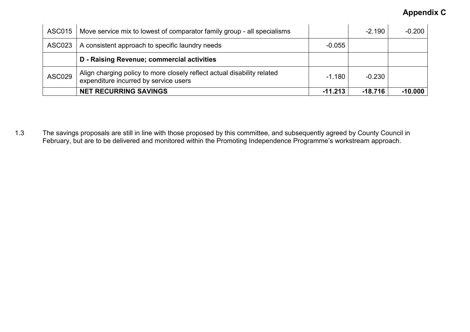| ASC015        | Move service mix to lowest of comparator family group - all specialisms                                          |           | $-2.190$  | $-0.200$  |
|---------------|------------------------------------------------------------------------------------------------------------------|-----------|-----------|-----------|
| ASC023        | A consistent approach to specific laundry needs                                                                  | $-0.055$  |           |           |
|               | D - Raising Revenue; commercial activities                                                                       |           |           |           |
| <b>ASC029</b> | Align charging policy to more closely reflect actual disability related<br>expenditure incurred by service users | $-1.180$  | $-0.230$  |           |
|               | <b>NET RECURRING SAVINGS</b>                                                                                     | $-11.213$ | $-18.716$ | $-10.000$ |

1.3 The savings proposals are still in line with those proposed by this committee, and subsequently agreed by County Council in February, but are to be delivered and monitored within the Promoting Independence Programme's workstream approach.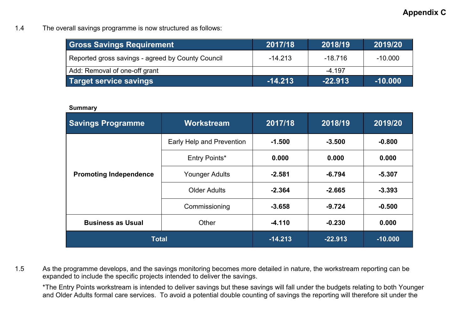1.4 The overall savings programme is now structured as follows:

| <b>Gross Savings Requirement</b>                  | 2017/18   | 2018/19   | 2019/20   |
|---------------------------------------------------|-----------|-----------|-----------|
| Reported gross savings - agreed by County Council | $-14.213$ | $-18.716$ | $-10.000$ |
| Add: Removal of one-off grant                     |           | $-4.197$  |           |
| Target service savings                            | $-14.213$ | $-22.913$ | $-10.000$ |

#### **Summary**

| <b>Savings Programme</b>          | <b>Workstream</b>                 |           | 2018/19   | 2019/20  |
|-----------------------------------|-----------------------------------|-----------|-----------|----------|
|                                   | Early Help and Prevention         | $-1.500$  | $-3.500$  | $-0.800$ |
|                                   | Entry Points*                     | 0.000     | 0.000     | 0.000    |
| <b>Promoting Independence</b>     | <b>Younger Adults</b><br>$-2.581$ |           | $-6.794$  | $-5.307$ |
|                                   | <b>Older Adults</b>               | $-2.364$  | $-2.665$  | $-3.393$ |
|                                   | Commissioning                     | $-3.658$  | $-9.724$  | $-0.500$ |
| <b>Business as Usual</b><br>Other |                                   | $-4.110$  | $-0.230$  | 0.000    |
| <b>Total</b>                      | $-14.213$                         | $-22.913$ | $-10.000$ |          |

1.5 As the programme develops, and the savings monitoring becomes more detailed in nature, the workstream reporting can be expanded to include the specific projects intended to deliver the savings.

\*The Entry Points workstream is intended to deliver savings but these savings will fall under the budgets relating to both Younger and Older Adults formal care services. To avoid a potential double counting of savings the reporting will therefore sit under the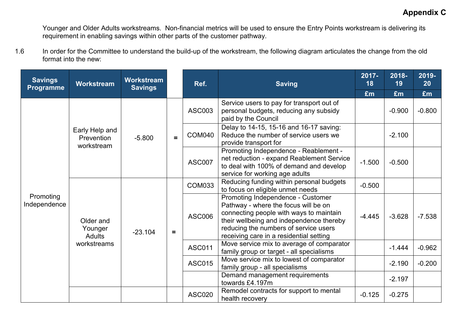Younger and Older Adults workstreams. Non-financial metrics will be used to ensure the Entry Points workstream is delivering its requirement in enabling savings within other parts of the customer pathway.

1.6 In order for the Committee to understand the build-up of the workstream, the following diagram articulates the change from the old format into the new:

| <b>Savings</b><br><b>Programme</b> | Workstream                                 | <b>Workstream</b><br><b>Savings</b> |                | Ref.          | <b>Saving</b>                                                                                                                                                                                                                                        | $2017 -$<br>18 | 2018-<br>19 | 2019-<br>20 |
|------------------------------------|--------------------------------------------|-------------------------------------|----------------|---------------|------------------------------------------------------------------------------------------------------------------------------------------------------------------------------------------------------------------------------------------------------|----------------|-------------|-------------|
|                                    |                                            |                                     |                | £m            | £m                                                                                                                                                                                                                                                   | £m             |             |             |
| Promoting<br>Independence          | Early Help and<br>Prevention<br>workstream | $-5.800$                            | $\blacksquare$ | <b>ASC003</b> | Service users to pay for transport out of<br>personal budgets, reducing any subsidy<br>paid by the Council                                                                                                                                           |                | $-0.900$    | $-0.800$    |
|                                    |                                            |                                     |                | <b>COM040</b> | Delay to 14-15, 15-16 and 16-17 saving:<br>Reduce the number of service users we<br>provide transport for                                                                                                                                            |                | $-2.100$    |             |
|                                    |                                            |                                     |                | <b>ASC007</b> | Promoting Independence - Reablement -<br>net reduction - expand Reablement Service<br>to deal with 100% of demand and develop<br>service for working age adults                                                                                      | $-1.500$       | $-0.500$    |             |
|                                    |                                            |                                     |                | <b>COM033</b> | Reducing funding within personal budgets<br>to focus on eligible unmet needs                                                                                                                                                                         | $-0.500$       |             |             |
|                                    | Older and<br>Younger<br>Adults             | $-23.104$                           | $\equiv$       | <b>ASC006</b> | Promoting Independence - Customer<br>Pathway - where the focus will be on<br>connecting people with ways to maintain<br>their wellbeing and independence thereby<br>reducing the numbers of service users<br>receiving care in a residential setting | $-4.445$       | $-3.628$    | $-7.538$    |
|                                    | workstreams                                |                                     |                | <b>ASC011</b> | Move service mix to average of comparator<br>family group or target - all specialisms                                                                                                                                                                |                | $-1.444$    | $-0.962$    |
|                                    |                                            |                                     |                | <b>ASC015</b> | Move service mix to lowest of comparator<br>family group - all specialisms                                                                                                                                                                           |                | $-2.190$    | $-0.200$    |
|                                    |                                            |                                     |                |               | Demand management requirements<br>towards £4.197m                                                                                                                                                                                                    |                | $-2.197$    |             |
|                                    |                                            |                                     |                | <b>ASC020</b> | Remodel contracts for support to mental<br>health recovery                                                                                                                                                                                           |                | $-0.275$    |             |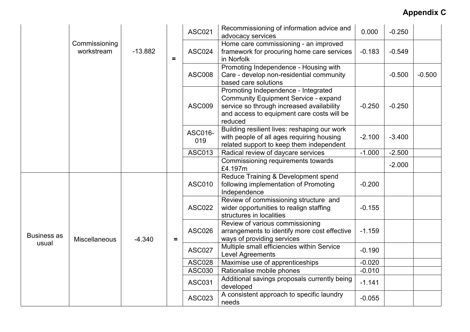|                             | Commissioning<br>workstream |           |          | <b>ASC021</b>  | Recommissioning of information advice and<br>advocacy services                                                                                                                           | 0.000    | $-0.250$ |          |
|-----------------------------|-----------------------------|-----------|----------|----------------|------------------------------------------------------------------------------------------------------------------------------------------------------------------------------------------|----------|----------|----------|
|                             |                             | $-13.882$ | $\equiv$ | <b>ASC024</b>  | Home care commissioning - an improved<br>framework for procuring home care services<br>in Norfolk                                                                                        | $-0.183$ | $-0.549$ |          |
|                             |                             |           |          | <b>ASC008</b>  | Promoting Independence - Housing with<br>Care - develop non-residential community<br>based care solutions                                                                                |          | $-0.500$ | $-0.500$ |
|                             |                             |           |          | <b>ASC009</b>  | Promoting Independence - Integrated<br><b>Community Equipment Service - expand</b><br>service so through increased availability<br>and access to equipment care costs will be<br>reduced | $-0.250$ | $-0.250$ |          |
|                             |                             |           |          | ASC016-<br>019 | Building resilient lives: reshaping our work<br>with people of all ages requiring housing<br>related support to keep them independent                                                    | $-2.100$ | $-3.400$ |          |
|                             |                             |           |          | <b>ASC013</b>  | Radical review of daycare services                                                                                                                                                       | $-1.000$ | $-2.500$ |          |
|                             |                             |           |          |                | Commissioning requirements towards<br>£4.197m                                                                                                                                            |          | $-2.000$ |          |
| <b>Business as</b><br>usual | Miscellaneous               |           |          | <b>ASC010</b>  | Reduce Training & Development spend<br>following implementation of Promoting<br>Independence                                                                                             | $-0.200$ |          |          |
|                             |                             |           |          | <b>ASC022</b>  | Review of commissioning structure and<br>wider opportunities to realign staffing<br>structures in localities                                                                             | $-0.155$ |          |          |
|                             |                             | $-4.340$  | $\equiv$ | <b>ASC026</b>  | Review of various commissioning<br>arrangements to identify more cost effective<br>ways of providing services                                                                            | $-1.159$ |          |          |
|                             |                             |           |          | <b>ASC027</b>  | Multiple small efficiencies within Service<br>Level Agreements                                                                                                                           | $-0.190$ |          |          |
|                             |                             |           |          | <b>ASC028</b>  | Maximise use of apprenticeships                                                                                                                                                          | $-0.020$ |          |          |
|                             |                             |           |          | <b>ASC030</b>  | Rationalise mobile phones                                                                                                                                                                | $-0.010$ |          |          |
|                             |                             |           |          | <b>ASC031</b>  | Additional savings proposals currently being<br>developed                                                                                                                                | $-1.141$ |          |          |
|                             |                             |           |          | <b>ASC023</b>  | A consistent approach to specific laundry<br>needs                                                                                                                                       | $-0.055$ |          |          |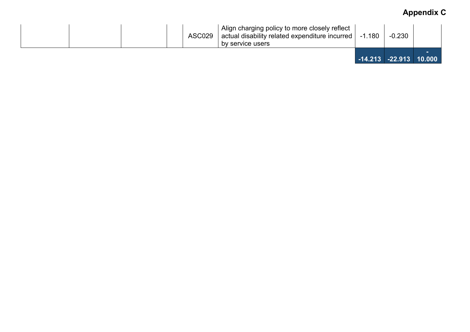| ASC029 | Align charging policy to more closely reflect<br>actual disability related expenditure incurred   -1.180<br>by service users | $-0.230$                     |  |
|--------|------------------------------------------------------------------------------------------------------------------------------|------------------------------|--|
|        |                                                                                                                              | $-14.213$ $-22.913$ $10.000$ |  |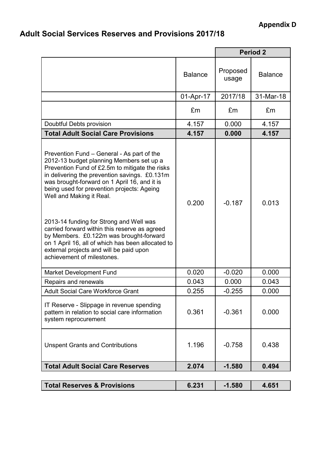# **Adult Social Services Reserves and Provisions 2017/18**

|                                                                                                                                                                                                                                                                                                                                                                                                                                                                                                                                                                                          |                | <b>Period 2</b>   |                |  |
|------------------------------------------------------------------------------------------------------------------------------------------------------------------------------------------------------------------------------------------------------------------------------------------------------------------------------------------------------------------------------------------------------------------------------------------------------------------------------------------------------------------------------------------------------------------------------------------|----------------|-------------------|----------------|--|
|                                                                                                                                                                                                                                                                                                                                                                                                                                                                                                                                                                                          | <b>Balance</b> | Proposed<br>usage | <b>Balance</b> |  |
|                                                                                                                                                                                                                                                                                                                                                                                                                                                                                                                                                                                          | 01-Apr-17      | 2017/18           | 31-Mar-18      |  |
|                                                                                                                                                                                                                                                                                                                                                                                                                                                                                                                                                                                          | £m             | £m                | £m             |  |
| Doubtful Debts provision                                                                                                                                                                                                                                                                                                                                                                                                                                                                                                                                                                 | 4.157          | 0.000             | 4.157          |  |
| <b>Total Adult Social Care Provisions</b>                                                                                                                                                                                                                                                                                                                                                                                                                                                                                                                                                | 4.157          | 0.000             | 4.157          |  |
| Prevention Fund – General - As part of the<br>2012-13 budget planning Members set up a<br>Prevention Fund of £2.5m to mitigate the risks<br>in delivering the prevention savings. £0.131m<br>was brought-forward on 1 April 16, and it is<br>being used for prevention projects: Ageing<br>Well and Making it Real.<br>2013-14 funding for Strong and Well was<br>carried forward within this reserve as agreed<br>by Members. £0.122m was brought-forward<br>on 1 April 16, all of which has been allocated to<br>external projects and will be paid upon<br>achievement of milestones. | 0.200          | $-0.187$          | 0.013          |  |
| Market Development Fund                                                                                                                                                                                                                                                                                                                                                                                                                                                                                                                                                                  | 0.020          | $-0.020$          | 0.000          |  |
| Repairs and renewals                                                                                                                                                                                                                                                                                                                                                                                                                                                                                                                                                                     | 0.043          | 0.000             | 0.043          |  |
| <b>Adult Social Care Workforce Grant</b>                                                                                                                                                                                                                                                                                                                                                                                                                                                                                                                                                 | 0.255          | $-0.255$          | 0.000          |  |
| IT Reserve - Slippage in revenue spending<br>pattern in relation to social care information<br>system reprocurement                                                                                                                                                                                                                                                                                                                                                                                                                                                                      | 0.361          | $-0.361$          | 0.000          |  |
| <b>Unspent Grants and Contributions</b>                                                                                                                                                                                                                                                                                                                                                                                                                                                                                                                                                  | 1.196          | $-0.758$          | 0.438          |  |
| <b>Total Adult Social Care Reserves</b>                                                                                                                                                                                                                                                                                                                                                                                                                                                                                                                                                  | 2.074          | $-1.580$          | 0.494          |  |
| <b>Total Reserves &amp; Provisions</b>                                                                                                                                                                                                                                                                                                                                                                                                                                                                                                                                                   | 6.231          | $-1.580$          | 4.651          |  |